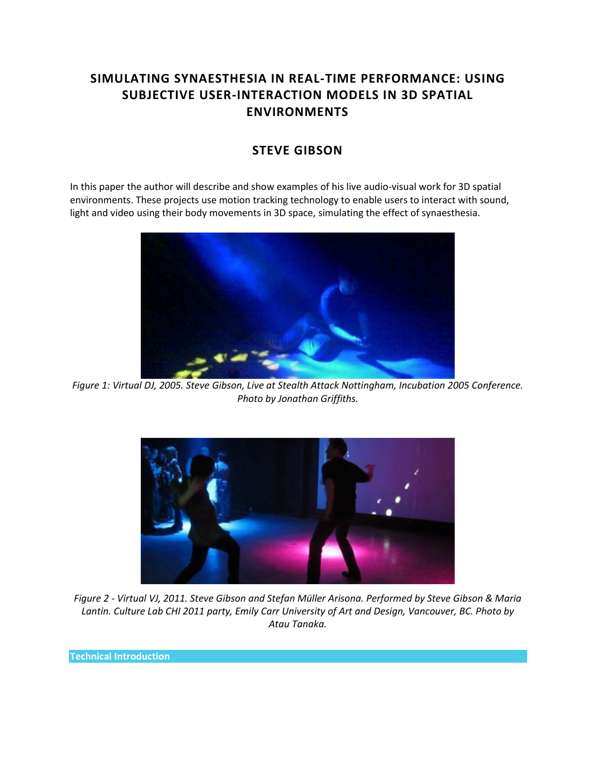# **SIMULATING SYNAESTHESIA IN REAL-TIME PERFORMANCE: USING SUBJECTIVE USER-INTERACTION MODELS IN 3D SPATIAL ENVIRONMENTS**

## **STEVE GIBSON**

In this paper the author will describe and show examples of his live audio-visual work for 3D spatial environments. These projects use motion tracking technology to enable users to interact with sound, light and video using their body movements in 3D space, simulating the effect of synaesthesia.



*Figure 1: Virtual DJ, 2005. Steve Gibson, Live at Stealth Attack Nottingham, Incubation 2005 Conference. Photo by Jonathan Griffiths.*



*Figure 2 - Virtual VJ, 2011. Steve Gibson and Stefan Müller Arisona. Performed by Steve Gibson & Maria Lantin. Culture Lab CHI 2011 party, Emily Carr University of Art and Design, Vancouver, BC. Photo by Atau Tanaka.*

**Technical Introduction**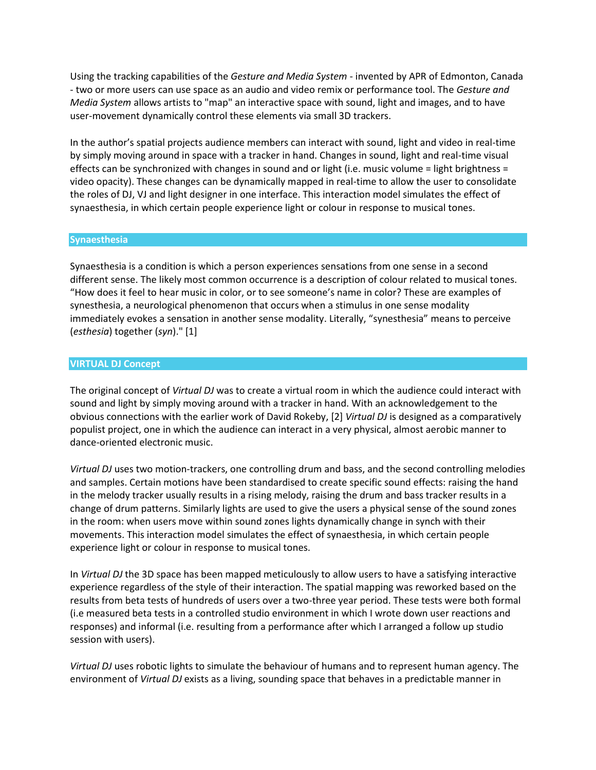Using the tracking capabilities of the *Gesture and Media System* - invented by APR of Edmonton, Canada - two or more users can use space as an audio and video remix or performance tool. The *Gesture and Media System* allows artists to "map" an interactive space with sound, light and images, and to have user-movement dynamically control these elements via small 3D trackers.

In the author's spatial projects audience members can interact with sound, light and video in real-time by simply moving around in space with a tracker in hand. Changes in sound, light and real-time visual effects can be synchronized with changes in sound and or light (i.e. music volume = light brightness = video opacity). These changes can be dynamically mapped in real-time to allow the user to consolidate the roles of DJ, VJ and light designer in one interface. This interaction model simulates the effect of synaesthesia, in which certain people experience light or colour in response to musical tones.

### **Synaesthesia**

Synaesthesia is a condition is which a person experiences sensations from one sense in a second different sense. The likely most common occurrence is a description of colour related to musical tones. "How does it feel to hear music in color, or to see someone's name in color? These are examples of synesthesia, a neurological phenomenon that occurs when a stimulus in one sense modality immediately evokes a sensation in another sense modality. Literally, "synesthesia" means to perceive (*esthesia*) together (*syn*)." [1]

#### **VIRTUAL DJ Concept**

The original concept of *Virtual DJ* was to create a virtual room in which the audience could interact with sound and light by simply moving around with a tracker in hand. With an acknowledgement to the obvious connections with the earlier work of David Rokeby, [2] *Virtual DJ* is designed as a comparatively populist project, one in which the audience can interact in a very physical, almost aerobic manner to dance-oriented electronic music.

*Virtual DJ* uses two motion-trackers, one controlling drum and bass, and the second controlling melodies and samples. Certain motions have been standardised to create specific sound effects: raising the hand in the melody tracker usually results in a rising melody, raising the drum and bass tracker results in a change of drum patterns. Similarly lights are used to give the users a physical sense of the sound zones in the room: when users move within sound zones lights dynamically change in synch with their movements. This interaction model simulates the effect of synaesthesia, in which certain people experience light or colour in response to musical tones.

In *Virtual DJ* the 3D space has been mapped meticulously to allow users to have a satisfying interactive experience regardless of the style of their interaction. The spatial mapping was reworked based on the results from beta tests of hundreds of users over a two-three year period. These tests were both formal (i.e measured beta tests in a controlled studio environment in which I wrote down user reactions and responses) and informal (i.e. resulting from a performance after which I arranged a follow up studio session with users).

*Virtual DJ* uses robotic lights to simulate the behaviour of humans and to represent human agency. The environment of *Virtual DJ* exists as a living, sounding space that behaves in a predictable manner in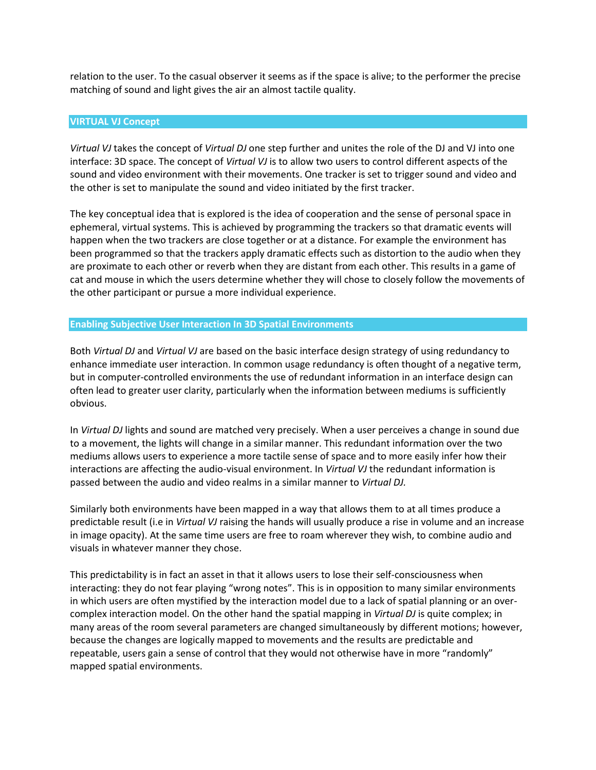relation to the user. To the casual observer it seems as if the space is alive; to the performer the precise matching of sound and light gives the air an almost tactile quality.

#### **VIRTUAL VJ Concept**

*Virtual VJ* takes the concept of *Virtual DJ* one step further and unites the role of the DJ and VJ into one interface: 3D space. The concept of *Virtual VJ* is to allow two users to control different aspects of the sound and video environment with their movements. One tracker is set to trigger sound and video and the other is set to manipulate the sound and video initiated by the first tracker.

The key conceptual idea that is explored is the idea of cooperation and the sense of personal space in ephemeral, virtual systems. This is achieved by programming the trackers so that dramatic events will happen when the two trackers are close together or at a distance. For example the environment has been programmed so that the trackers apply dramatic effects such as distortion to the audio when they are proximate to each other or reverb when they are distant from each other. This results in a game of cat and mouse in which the users determine whether they will chose to closely follow the movements of the other participant or pursue a more individual experience.

#### **Enabling Subjective User Interaction In 3D Spatial Environments**

Both *Virtual DJ* and *Virtual VJ* are based on the basic interface design strategy of using redundancy to enhance immediate user interaction. In common usage redundancy is often thought of a negative term, but in computer-controlled environments the use of redundant information in an interface design can often lead to greater user clarity, particularly when the information between mediums is sufficiently obvious.

In *Virtual DJ* lights and sound are matched very precisely. When a user perceives a change in sound due to a movement, the lights will change in a similar manner. This redundant information over the two mediums allows users to experience a more tactile sense of space and to more easily infer how their interactions are affecting the audio-visual environment. In *Virtual VJ* the redundant information is passed between the audio and video realms in a similar manner to *Virtual DJ.*

Similarly both environments have been mapped in a way that allows them to at all times produce a predictable result (i.e in *Virtual VJ* raising the hands will usually produce a rise in volume and an increase in image opacity). At the same time users are free to roam wherever they wish, to combine audio and visuals in whatever manner they chose.

This predictability is in fact an asset in that it allows users to lose their self-consciousness when interacting: they do not fear playing "wrong notes". This is in opposition to many similar environments in which users are often mystified by the interaction model due to a lack of spatial planning or an overcomplex interaction model. On the other hand the spatial mapping in *Virtual DJ* is quite complex; in many areas of the room several parameters are changed simultaneously by different motions; however, because the changes are logically mapped to movements and the results are predictable and repeatable, users gain a sense of control that they would not otherwise have in more "randomly" mapped spatial environments.